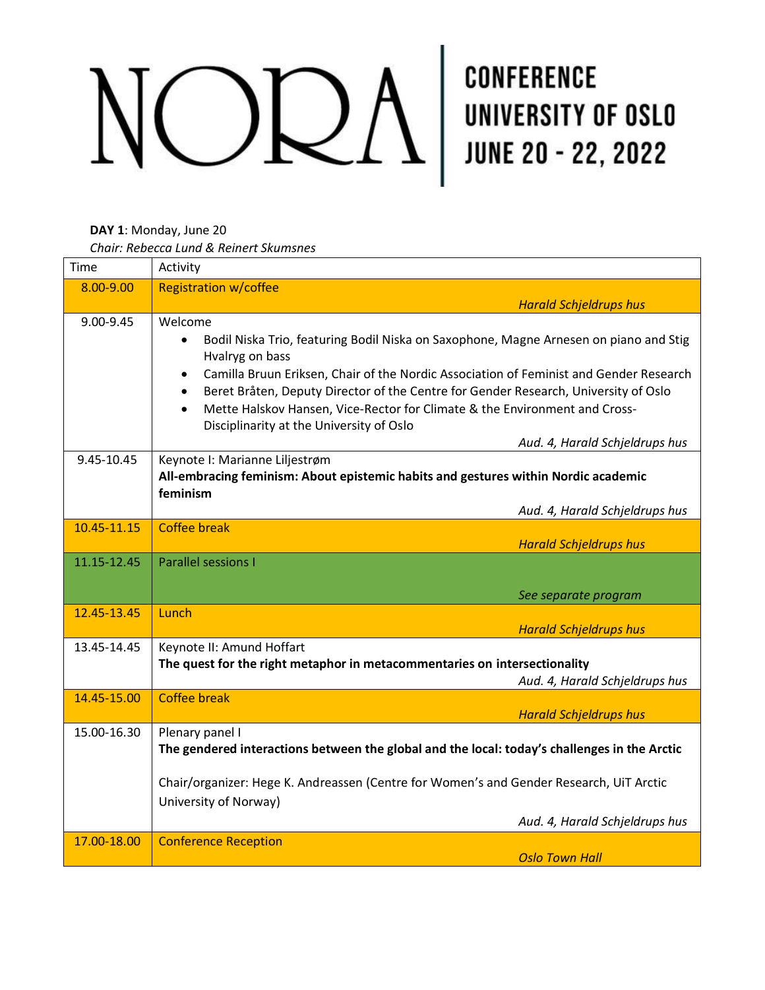# $\mathrm{DRA}$  university of OSLO UNIVERSITY OF OSLO

#### **DAY 1**: Monday, June 20 *Chair: Rebecca Lund & Reinert Skumsnes*

| Time        | Activity                                                                                                                                                                                                                                                                                                                                                                                                                                                                                                |
|-------------|---------------------------------------------------------------------------------------------------------------------------------------------------------------------------------------------------------------------------------------------------------------------------------------------------------------------------------------------------------------------------------------------------------------------------------------------------------------------------------------------------------|
| 8.00-9.00   | <b>Registration w/coffee</b>                                                                                                                                                                                                                                                                                                                                                                                                                                                                            |
|             | <b>Harald Schjeldrups hus</b>                                                                                                                                                                                                                                                                                                                                                                                                                                                                           |
| 9.00-9.45   | Welcome<br>Bodil Niska Trio, featuring Bodil Niska on Saxophone, Magne Arnesen on piano and Stig<br>$\bullet$<br>Hvalryg on bass<br>Camilla Bruun Eriksen, Chair of the Nordic Association of Feminist and Gender Research<br>Beret Bråten, Deputy Director of the Centre for Gender Research, University of Oslo<br>$\bullet$<br>Mette Halskov Hansen, Vice-Rector for Climate & the Environment and Cross-<br>$\bullet$<br>Disciplinarity at the University of Oslo<br>Aud. 4, Harald Schjeldrups hus |
| 9.45-10.45  | Keynote I: Marianne Liljestrøm                                                                                                                                                                                                                                                                                                                                                                                                                                                                          |
|             | All-embracing feminism: About epistemic habits and gestures within Nordic academic<br>feminism                                                                                                                                                                                                                                                                                                                                                                                                          |
|             | Aud. 4, Harald Schjeldrups hus                                                                                                                                                                                                                                                                                                                                                                                                                                                                          |
| 10.45-11.15 | <b>Coffee break</b><br><b>Harald Schjeldrups hus</b>                                                                                                                                                                                                                                                                                                                                                                                                                                                    |
| 11.15-12.45 | Parallel sessions I                                                                                                                                                                                                                                                                                                                                                                                                                                                                                     |
|             | See separate program                                                                                                                                                                                                                                                                                                                                                                                                                                                                                    |
| 12.45-13.45 | Lunch<br><b>Harald Schjeldrups hus</b>                                                                                                                                                                                                                                                                                                                                                                                                                                                                  |
| 13.45-14.45 | Keynote II: Amund Hoffart                                                                                                                                                                                                                                                                                                                                                                                                                                                                               |
|             | The quest for the right metaphor in metacommentaries on intersectionality                                                                                                                                                                                                                                                                                                                                                                                                                               |
| 14.45-15.00 | Aud. 4, Harald Schjeldrups hus<br><b>Coffee break</b>                                                                                                                                                                                                                                                                                                                                                                                                                                                   |
|             | <b>Harald Schjeldrups hus</b>                                                                                                                                                                                                                                                                                                                                                                                                                                                                           |
| 15.00-16.30 | Plenary panel I                                                                                                                                                                                                                                                                                                                                                                                                                                                                                         |
|             | The gendered interactions between the global and the local: today's challenges in the Arctic                                                                                                                                                                                                                                                                                                                                                                                                            |
|             | Chair/organizer: Hege K. Andreassen (Centre for Women's and Gender Research, UiT Arctic<br>University of Norway)                                                                                                                                                                                                                                                                                                                                                                                        |
|             | Aud. 4, Harald Schjeldrups hus                                                                                                                                                                                                                                                                                                                                                                                                                                                                          |
| 17.00-18.00 | <b>Conference Reception</b><br><b>Oslo Town Hall</b>                                                                                                                                                                                                                                                                                                                                                                                                                                                    |
|             |                                                                                                                                                                                                                                                                                                                                                                                                                                                                                                         |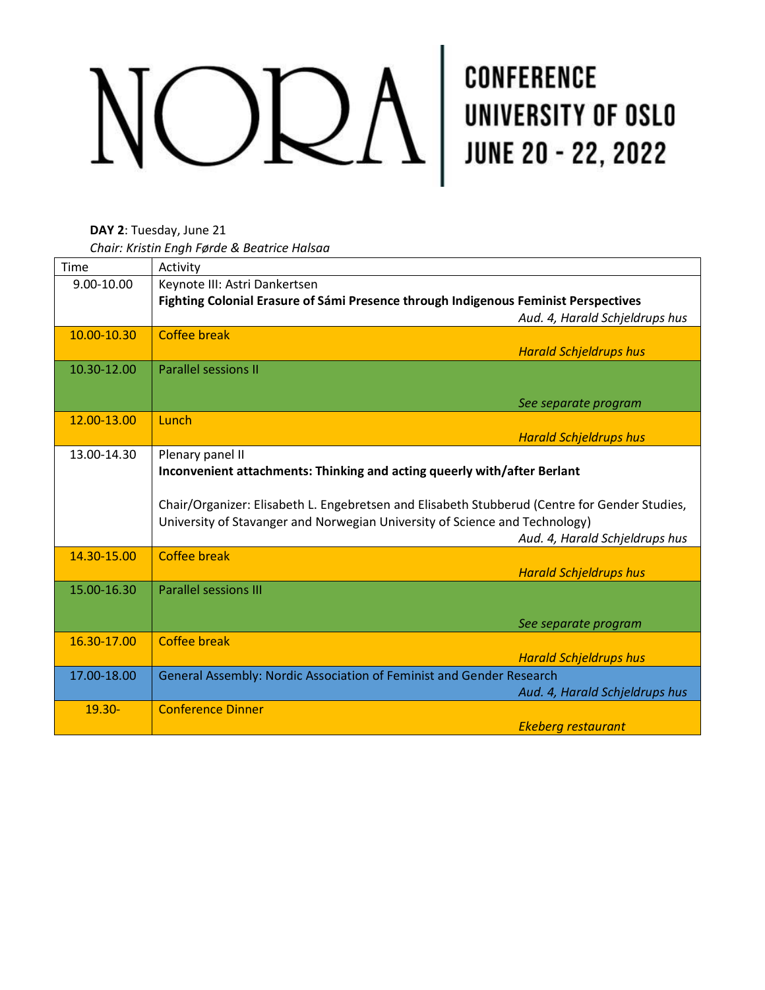# $\sum$ A WINERSITY OF OSLO

**DAY 2**: Tuesday, June 21 *Chair: Kristin Engh Førde & Beatrice Halsaa*

| Time        | Activity                                                                                      |
|-------------|-----------------------------------------------------------------------------------------------|
| 9.00-10.00  | Keynote III: Astri Dankertsen                                                                 |
|             | Fighting Colonial Erasure of Sámi Presence through Indigenous Feminist Perspectives           |
|             | Aud. 4, Harald Schjeldrups hus                                                                |
| 10.00-10.30 | <b>Coffee break</b>                                                                           |
|             | <b>Harald Schjeldrups hus</b>                                                                 |
| 10.30-12.00 | <b>Parallel sessions II</b>                                                                   |
|             |                                                                                               |
|             | See separate program                                                                          |
| 12.00-13.00 | Lunch                                                                                         |
|             | <b>Harald Schjeldrups hus</b>                                                                 |
| 13.00-14.30 | Plenary panel II                                                                              |
|             | Inconvenient attachments: Thinking and acting queerly with/after Berlant                      |
|             |                                                                                               |
|             | Chair/Organizer: Elisabeth L. Engebretsen and Elisabeth Stubberud (Centre for Gender Studies, |
|             | University of Stavanger and Norwegian University of Science and Technology)                   |
|             | Aud. 4, Harald Schjeldrups hus                                                                |
| 14.30-15.00 | <b>Coffee break</b>                                                                           |
|             | <b>Harald Schjeldrups hus</b>                                                                 |
| 15.00-16.30 | <b>Parallel sessions III</b>                                                                  |
|             |                                                                                               |
|             | See separate program                                                                          |
| 16.30-17.00 | Coffee break                                                                                  |
|             | <b>Harald Schjeldrups hus</b>                                                                 |
| 17.00-18.00 | General Assembly: Nordic Association of Feminist and Gender Research                          |
|             | Aud. 4, Harald Schjeldrups hus                                                                |
| 19.30-      | <b>Conference Dinner</b>                                                                      |
|             |                                                                                               |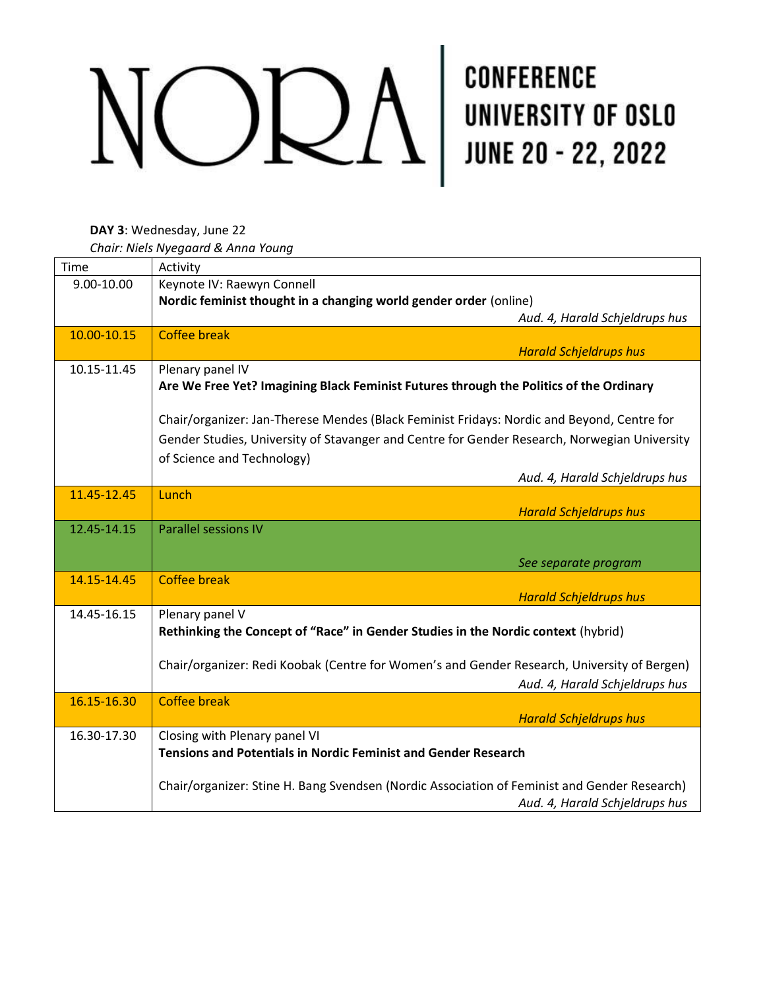# L

 $\log_{100}$   $\log_{100}$   $\log_{100}$   $\log_{100}$   $\log_{100}$   $\log_{100}$   $\log_{100}$   $\log_{100}$   $\log_{100}$ 

# **DAY 3**: Wednesday, June 22 *Chair: Niels Nyegaard & Anna Young*

| Time        | Activity                                                                                     |
|-------------|----------------------------------------------------------------------------------------------|
| 9.00-10.00  | Keynote IV: Raewyn Connell                                                                   |
|             | Nordic feminist thought in a changing world gender order (online)                            |
|             | Aud. 4, Harald Schjeldrups hus                                                               |
| 10.00-10.15 | <b>Coffee break</b>                                                                          |
|             | <b>Harald Schjeldrups hus</b>                                                                |
| 10.15-11.45 | Plenary panel IV                                                                             |
|             | Are We Free Yet? Imagining Black Feminist Futures through the Politics of the Ordinary       |
|             |                                                                                              |
|             | Chair/organizer: Jan-Therese Mendes (Black Feminist Fridays: Nordic and Beyond, Centre for   |
|             | Gender Studies, University of Stavanger and Centre for Gender Research, Norwegian University |
|             | of Science and Technology)                                                                   |
|             | Aud. 4, Harald Schjeldrups hus                                                               |
| 11.45-12.45 | Lunch                                                                                        |
|             | <b>Harald Schjeldrups hus</b>                                                                |
| 12.45-14.15 | <b>Parallel sessions IV</b>                                                                  |
|             |                                                                                              |
|             | See separate program                                                                         |
| 14.15-14.45 | <b>Coffee break</b>                                                                          |
|             | <b>Harald Schjeldrups hus</b>                                                                |
| 14.45-16.15 | Plenary panel V                                                                              |
|             | Rethinking the Concept of "Race" in Gender Studies in the Nordic context (hybrid)            |
|             |                                                                                              |
|             | Chair/organizer: Redi Koobak (Centre for Women's and Gender Research, University of Bergen)  |
|             | Aud. 4, Harald Schjeldrups hus                                                               |
| 16.15-16.30 | <b>Coffee break</b>                                                                          |
|             | <b>Harald Schjeldrups hus</b>                                                                |
| 16.30-17.30 | Closing with Plenary panel VI                                                                |
|             | <b>Tensions and Potentials in Nordic Feminist and Gender Research</b>                        |
|             |                                                                                              |
|             | Chair/organizer: Stine H. Bang Svendsen (Nordic Association of Feminist and Gender Research) |
|             | Aud. 4, Harald Schjeldrups hus                                                               |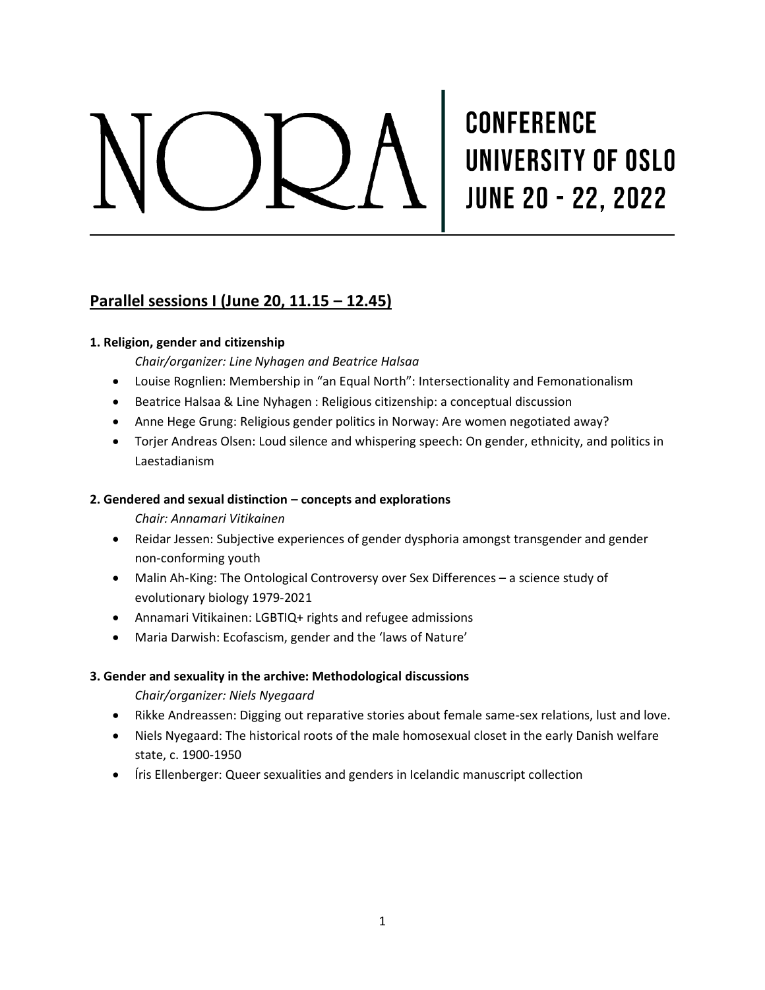**CONFERENCE UNIVERSITY OF OSLO JUNE 20 - 22, 2022** 

### **Parallel sessions I (June 20, 11.15 – 12.45)**

#### **1. Religion, gender and citizenship**

*Chair/organizer: Line Nyhagen and Beatrice Halsaa*

- Louise Rognlien: Membership in "an Equal North": Intersectionality and Femonationalism
- Beatrice Halsaa & Line Nyhagen : Religious citizenship: a conceptual discussion
- Anne Hege Grung: Religious gender politics in Norway: Are women negotiated away?
- Torjer Andreas Olsen: Loud silence and whispering speech: On gender, ethnicity, and politics in Laestadianism

#### **2. Gendered and sexual distinction – concepts and explorations**

#### *Chair: Annamari Vitikainen*

- Reidar Jessen: Subjective experiences of gender dysphoria amongst transgender and gender non-conforming youth
- Malin Ah-King: The Ontological Controversy over Sex Differences a science study of evolutionary biology 1979-2021
- Annamari Vitikainen: LGBTIQ+ rights and refugee admissions
- Maria Darwish: Ecofascism, gender and the 'laws of Nature'

#### **3. Gender and sexuality in the archive: Methodological discussions**

#### *Chair/organizer: Niels Nyegaard*

- Rikke Andreassen: Digging out reparative stories about female same-sex relations, lust and love.
- Niels Nyegaard: The historical roots of the male homosexual closet in the early Danish welfare state, c. 1900-1950
- Íris Ellenberger: Queer sexualities and genders in Icelandic manuscript collection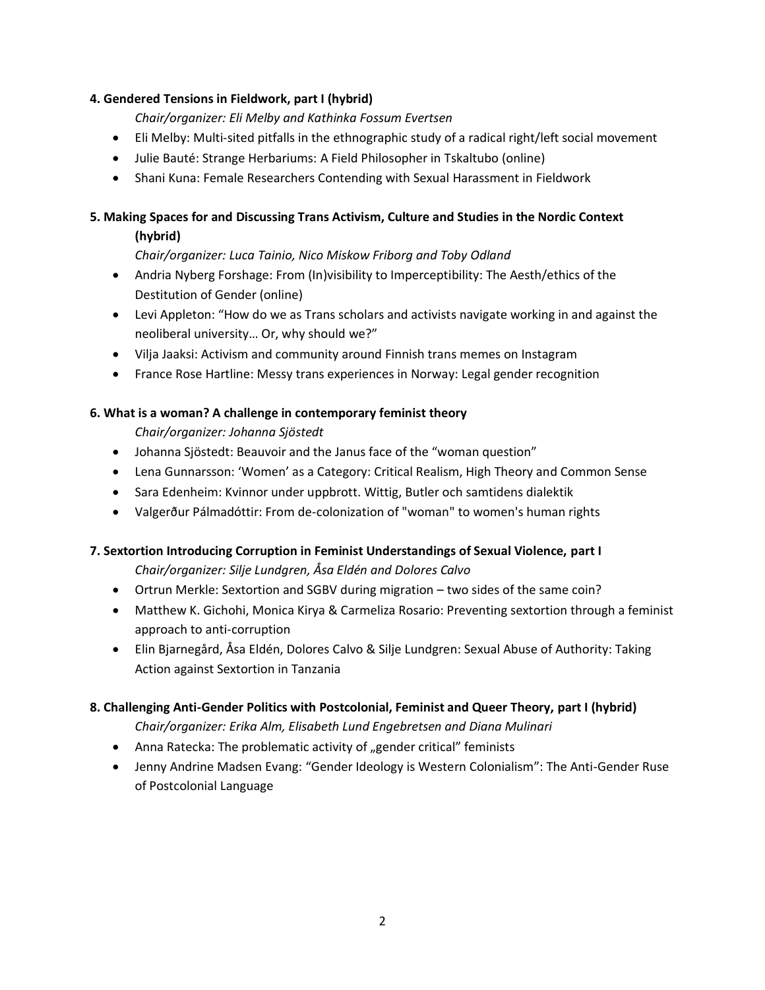#### **4. Gendered Tensions in Fieldwork, part I (hybrid)**

*Chair/organizer: Eli Melby and Kathinka Fossum Evertsen*

- Eli Melby: Multi-sited pitfalls in the ethnographic study of a radical right/left social movement
- Julie Bauté: Strange Herbariums: A Field Philosopher in Tskaltubo (online)
- Shani Kuna: Female Researchers Contending with Sexual Harassment in Fieldwork

# **5. Making Spaces for and Discussing Trans Activism, Culture and Studies in the Nordic Context**

#### **(hybrid)**

*Chair/organizer: Luca Tainio, Nico Miskow Friborg and Toby Odland*

- Andria Nyberg Forshage: From (In)visibility to Imperceptibility: The Aesth/ethics of the Destitution of Gender (online)
- Levi Appleton: "How do we as Trans scholars and activists navigate working in and against the neoliberal university… Or, why should we?"
- Vilja Jaaksi: Activism and community around Finnish trans memes on Instagram
- France Rose Hartline: Messy trans experiences in Norway: Legal gender recognition

#### **6. What is a woman? A challenge in contemporary feminist theory**

*Chair/organizer: Johanna Sjöstedt*

- Johanna Sjöstedt: Beauvoir and the Janus face of the "woman question"
- Lena Gunnarsson: 'Women' as a Category: Critical Realism, High Theory and Common Sense
- Sara Edenheim: Kvinnor under uppbrott. Wittig, Butler och samtidens dialektik
- Valgerður Pálmadóttir: From de-colonization of "woman" to women's human rights

#### **7. Sextortion Introducing Corruption in Feminist Understandings of Sexual Violence, part I**

*Chair/organizer: Silje Lundgren, Åsa Eldén and Dolores Calvo*

- Ortrun Merkle: Sextortion and SGBV during migration two sides of the same coin?
- Matthew K. Gichohi, Monica Kirya & Carmeliza Rosario: Preventing sextortion through a feminist approach to anti-corruption
- Elin Bjarnegård, Åsa Eldén, Dolores Calvo & Silje Lundgren: Sexual Abuse of Authority: Taking Action against Sextortion in Tanzania

#### **8. Challenging Anti-Gender Politics with Postcolonial, Feminist and Queer Theory, part I (hybrid)**

*Chair/organizer: Erika Alm, Elisabeth Lund Engebretsen and Diana Mulinari*

- Anna Ratecka: The problematic activity of "gender critical" feminists
- Jenny Andrine Madsen Evang: "Gender Ideology is Western Colonialism": The Anti-Gender Ruse of Postcolonial Language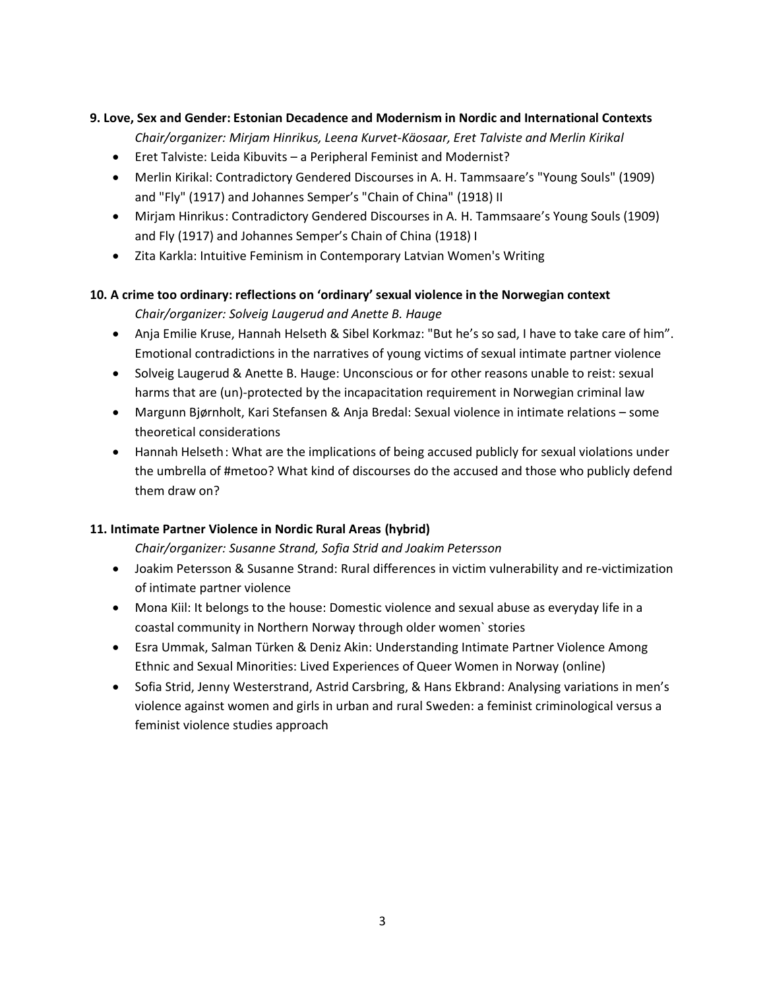#### **9. Love, Sex and Gender: Estonian Decadence and Modernism in Nordic and International Contexts**

- *Chair/organizer: Mirjam Hinrikus, Leena Kurvet-Käosaar, Eret Talviste and Merlin Kirikal*
- Eret Talviste: Leida Kibuvits a Peripheral Feminist and Modernist?
- Merlin Kirikal: Contradictory Gendered Discourses in A. H. Tammsaare's "Young Souls" (1909) and "Fly" (1917) and Johannes Semper's "Chain of China" (1918) II
- Mirjam Hinrikus: Contradictory Gendered Discourses in A. H. Tammsaare's Young Souls (1909) and Fly (1917) and Johannes Semper's Chain of China (1918) I
- Zita Karkla: Intuitive Feminism in Contemporary Latvian Women's Writing

### **10. A crime too ordinary: reflections on 'ordinary' sexual violence in the Norwegian context** *Chair/organizer: Solveig Laugerud and Anette B. Hauge*

- Anja Emilie Kruse, Hannah Helseth & Sibel Korkmaz: "But he's so sad, I have to take care of him". Emotional contradictions in the narratives of young victims of sexual intimate partner violence
- Solveig Laugerud & Anette B. Hauge: Unconscious or for other reasons unable to reist: sexual harms that are (un)-protected by the incapacitation requirement in Norwegian criminal law
- Margunn Bjørnholt, Kari Stefansen & Anja Bredal: Sexual violence in intimate relations some theoretical considerations
- Hannah Helseth: What are the implications of being accused publicly for sexual violations under the umbrella of #metoo? What kind of discourses do the accused and those who publicly defend them draw on?

#### **11. Intimate Partner Violence in Nordic Rural Areas (hybrid)**

*Chair/organizer: Susanne Strand, Sofia Strid and Joakim Petersson*

- Joakim Petersson & Susanne Strand: Rural differences in victim vulnerability and re-victimization of intimate partner violence
- Mona Kiil: It belongs to the house: Domestic violence and sexual abuse as everyday life in a coastal community in Northern Norway through older women` stories
- Esra Ummak, Salman Türken & Deniz Akin: Understanding Intimate Partner Violence Among Ethnic and Sexual Minorities: Lived Experiences of Queer Women in Norway (online)
- Sofia Strid, Jenny Westerstrand, Astrid Carsbring, & Hans Ekbrand: Analysing variations in men's violence against women and girls in urban and rural Sweden: a feminist criminological versus a feminist violence studies approach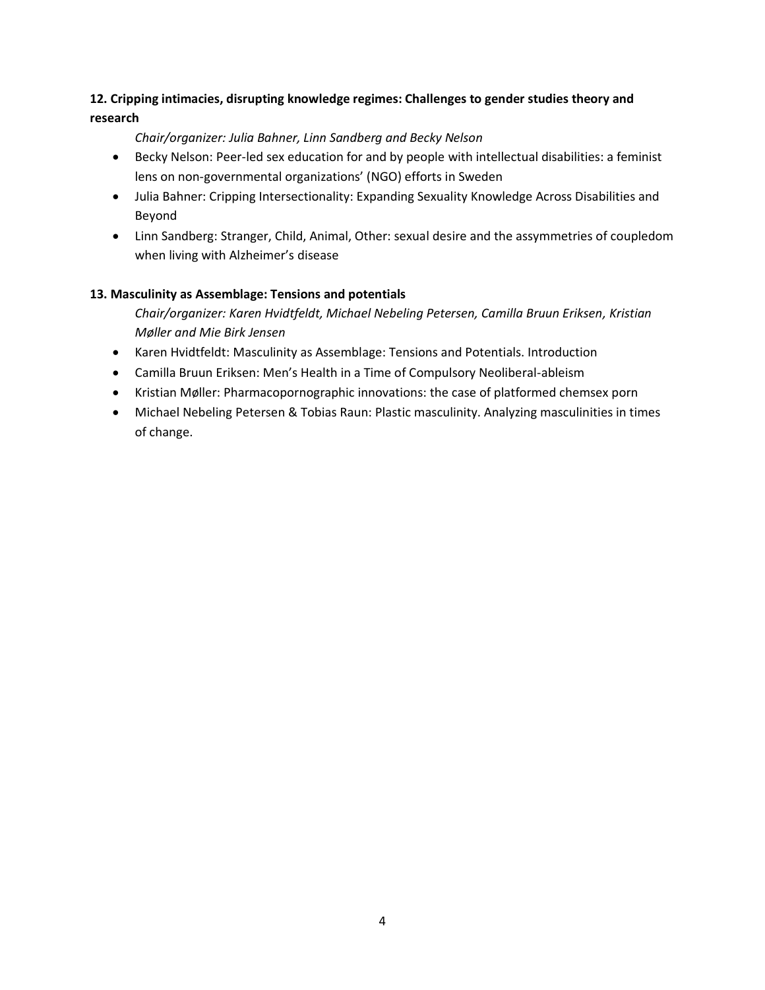### **12. Cripping intimacies, disrupting knowledge regimes: Challenges to gender studies theory and research**

#### *Chair/organizer: Julia Bahner, Linn Sandberg and Becky Nelson*

- Becky Nelson: Peer-led sex education for and by people with intellectual disabilities: a feminist lens on non-governmental organizations' (NGO) efforts in Sweden
- Julia Bahner: Cripping Intersectionality: Expanding Sexuality Knowledge Across Disabilities and Beyond
- Linn Sandberg: Stranger, Child, Animal, Other: sexual desire and the assymmetries of coupledom when living with Alzheimer's disease

#### **13. Masculinity as Assemblage: Tensions and potentials**

*Chair/organizer: Karen Hvidtfeldt, Michael Nebeling Petersen, Camilla Bruun Eriksen, Kristian Møller and Mie Birk Jensen*

- Karen Hvidtfeldt: Masculinity as Assemblage: Tensions and Potentials. Introduction
- Camilla Bruun Eriksen: Men's Health in a Time of Compulsory Neoliberal-ableism
- Kristian Møller: Pharmacopornographic innovations: the case of platformed chemsex porn
- Michael Nebeling Petersen & Tobias Raun: Plastic masculinity. Analyzing masculinities in times of change.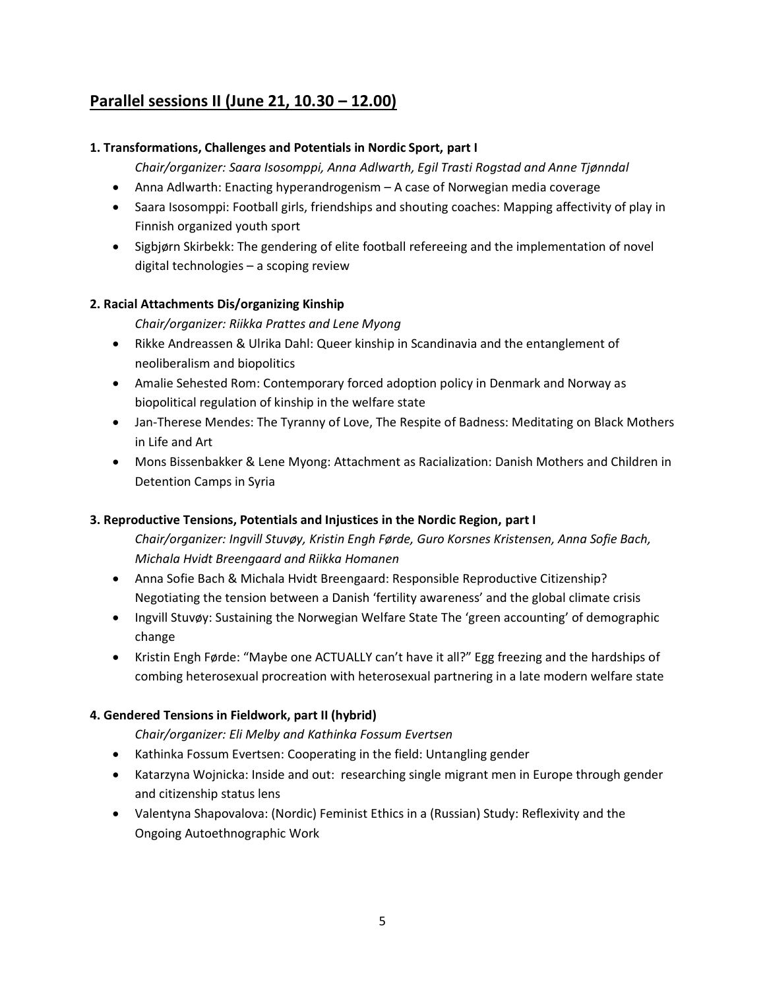## **Parallel sessions II (June 21, 10.30 – 12.00)**

#### **1. Transformations, Challenges and Potentials in Nordic Sport, part I**

*Chair/organizer: Saara Isosomppi, Anna Adlwarth, Egil Trasti Rogstad and Anne Tjønndal*

- Anna Adlwarth: Enacting hyperandrogenism A case of Norwegian media coverage
- Saara Isosomppi: Football girls, friendships and shouting coaches: Mapping affectivity of play in Finnish organized youth sport
- Sigbjørn Skirbekk: The gendering of elite football refereeing and the implementation of novel digital technologies – a scoping review

#### **2. Racial Attachments Dis/organizing Kinship**

*Chair/organizer: Riikka Prattes and Lene Myong*

- Rikke Andreassen & Ulrika Dahl: Queer kinship in Scandinavia and the entanglement of neoliberalism and biopolitics
- Amalie Sehested Rom: Contemporary forced adoption policy in Denmark and Norway as biopolitical regulation of kinship in the welfare state
- Jan-Therese Mendes: The Tyranny of Love, The Respite of Badness: Meditating on Black Mothers in Life and Art
- Mons Bissenbakker & Lene Myong: Attachment as Racialization: Danish Mothers and Children in Detention Camps in Syria

#### **3. Reproductive Tensions, Potentials and Injustices in the Nordic Region, part I**

*Chair/organizer: Ingvill Stuvøy, Kristin Engh Førde, Guro Korsnes Kristensen, Anna Sofie Bach, Michala Hvidt Breengaard and Riikka Homanen*

- Anna Sofie Bach & Michala Hvidt Breengaard: Responsible Reproductive Citizenship? Negotiating the tension between a Danish 'fertility awareness' and the global climate crisis
- Ingvill Stuvøy: Sustaining the Norwegian Welfare State The 'green accounting' of demographic change
- Kristin Engh Førde: "Maybe one ACTUALLY can't have it all?" Egg freezing and the hardships of combing heterosexual procreation with heterosexual partnering in a late modern welfare state

#### **4. Gendered Tensions in Fieldwork, part II (hybrid)**

*Chair/organizer: Eli Melby and Kathinka Fossum Evertsen*

- Kathinka Fossum Evertsen: Cooperating in the field: Untangling gender
- Katarzyna Wojnicka: Inside and out: researching single migrant men in Europe through gender and citizenship status lens
- Valentyna Shapovalova: (Nordic) Feminist Ethics in a (Russian) Study: Reflexivity and the Ongoing Autoethnographic Work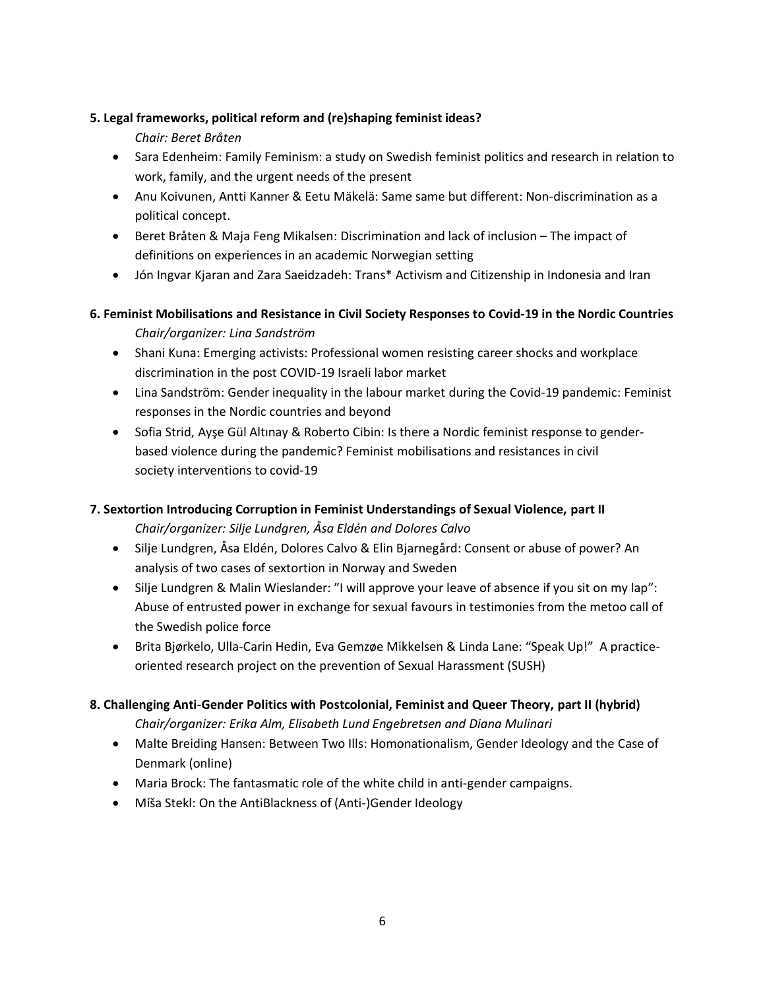#### **5. Legal frameworks, political reform and (re)shaping feminist ideas?**

#### *Chair: Beret Bråten*

- Sara Edenheim: Family Feminism: a study on Swedish feminist politics and research in relation to work, family, and the urgent needs of the present
- Anu Koivunen, Antti Kanner & Eetu Mäkelä: Same same but different: Non-discrimination as a political concept.
- Beret Bråten & Maja Feng Mikalsen: Discrimination and lack of inclusion The impact of definitions on experiences in an academic Norwegian setting
- Jón Ingvar Kjaran and Zara Saeidzadeh: Trans\* Activism and Citizenship in Indonesia and Iran

#### **6. Feminist Mobilisations and Resistance in Civil Society Responses to Covid-19 in the Nordic Countries** *Chair/organizer: Lina Sandström*

- Shani Kuna: Emerging activists: Professional women resisting career shocks and workplace discrimination in the post COVID-19 Israeli labor market
- Lina Sandström: Gender inequality in the labour market during the Covid-19 pandemic: Feminist responses in the Nordic countries and beyond
- Sofia Strid, Ayşe Gül Altınay & Roberto Cibin: Is there a Nordic feminist response to genderbased violence during the pandemic? Feminist mobilisations and resistances in civil society interventions to covid-19

#### **7. Sextortion Introducing Corruption in Feminist Understandings of Sexual Violence, part II**

*Chair/organizer: Silje Lundgren, Åsa Eldén and Dolores Calvo*

- Silje Lundgren, Åsa Eldén, Dolores Calvo & Elin Bjarnegård: Consent or abuse of power? An analysis of two cases of sextortion in Norway and Sweden
- Silje Lundgren & Malin Wieslander: "I will approve your leave of absence if you sit on my lap": Abuse of entrusted power in exchange for sexual favours in testimonies from the metoo call of the Swedish police force
- Brita Bjørkelo, Ulla-Carin Hedin, Eva Gemzøe Mikkelsen & Linda Lane: "Speak Up!" A practiceoriented research project on the prevention of Sexual Harassment (SUSH)

#### **8. Challenging Anti-Gender Politics with Postcolonial, Feminist and Queer Theory, part II (hybrid)** *Chair/organizer: Erika Alm, Elisabeth Lund Engebretsen and Diana Mulinari*

- Malte Breiding Hansen: Between Two Ills: Homonationalism, Gender Ideology and the Case of
	- Denmark (online)
- Maria Brock: The fantasmatic role of the white child in anti-gender campaigns.
- Míša Stekl: On the AntiBlackness of (Anti-)Gender Ideology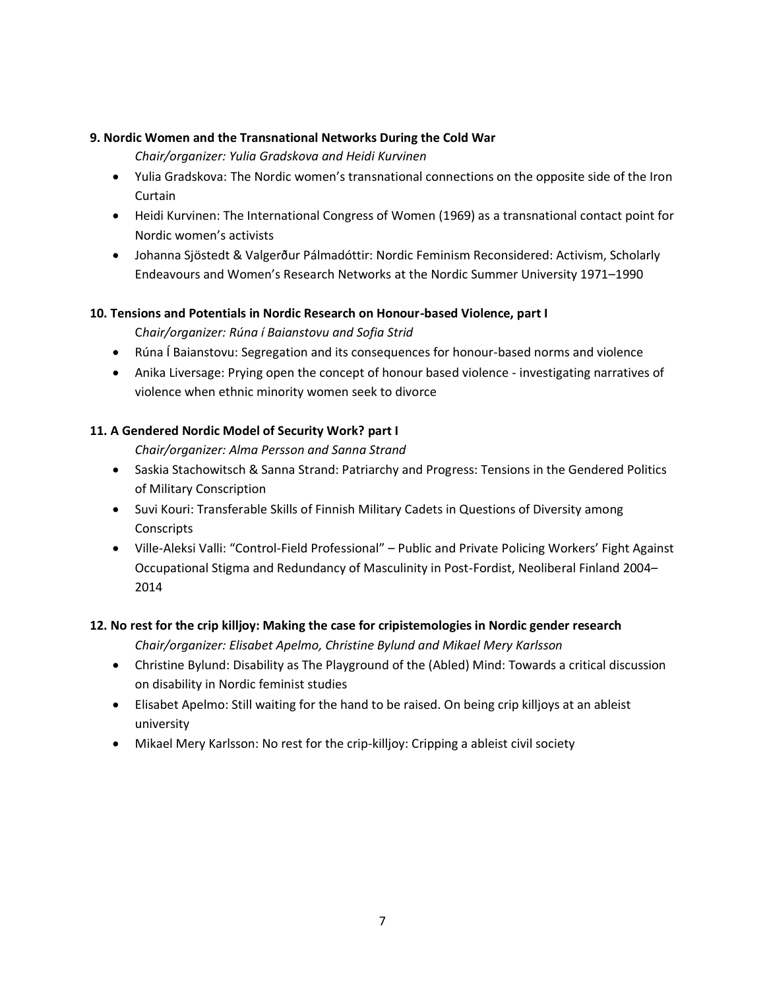#### **9. Nordic Women and the Transnational Networks During the Cold War**

*Chair/organizer: Yulia Gradskova and Heidi Kurvinen*

- Yulia Gradskova: The Nordic women's transnational connections on the opposite side of the Iron Curtain
- Heidi Kurvinen: The International Congress of Women (1969) as a transnational contact point for Nordic women's activists
- Johanna Sjöstedt & Valgerður Pálmadóttir: Nordic Feminism Reconsidered: Activism, Scholarly Endeavours and Women's Research Networks at the Nordic Summer University 1971–1990

#### **10. Tensions and Potentials in Nordic Research on Honour-based Violence, part I**

C*hair/organizer: Rúna í Baianstovu and Sofia Strid*

- Rúna Í Baianstovu: Segregation and its consequences for honour-based norms and violence
- Anika Liversage: Prying open the concept of honour based violence investigating narratives of violence when ethnic minority women seek to divorce

#### **11. A Gendered Nordic Model of Security Work? part I**

*Chair/organizer: Alma Persson and Sanna Strand*

- Saskia Stachowitsch & Sanna Strand: Patriarchy and Progress: Tensions in the Gendered Politics of Military Conscription
- Suvi Kouri: Transferable Skills of Finnish Military Cadets in Questions of Diversity among **Conscripts**
- Ville-Aleksi Valli: "Control-Field Professional" Public and Private Policing Workers' Fight Against Occupational Stigma and Redundancy of Masculinity in Post-Fordist, Neoliberal Finland 2004– 2014

#### **12. No rest for the crip killjoy: Making the case for cripistemologies in Nordic gender research**

*Chair/organizer: Elisabet Apelmo, Christine Bylund and Mikael Mery Karlsson*

- Christine Bylund: Disability as The Playground of the (Abled) Mind: Towards a critical discussion on disability in Nordic feminist studies
- Elisabet Apelmo: Still waiting for the hand to be raised. On being crip killjoys at an ableist university
- Mikael Mery Karlsson: No rest for the crip-killjoy: Cripping a ableist civil society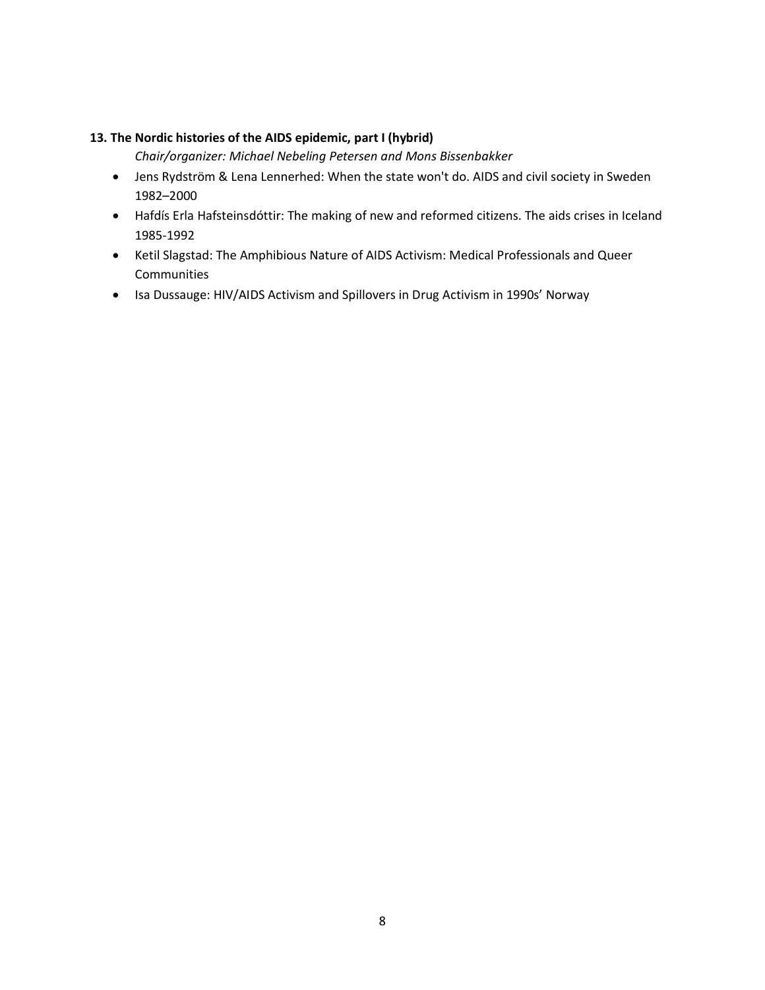#### **13. The Nordic histories of the AIDS epidemic, part I (hybrid)**

*Chair/organizer: Michael Nebeling Petersen and Mons Bissenbakker*

- Jens Rydström & Lena Lennerhed: When the state won't do. AIDS and civil society in Sweden 1982–2000
- Hafdís Erla Hafsteinsdóttir: The making of new and reformed citizens. The aids crises in Iceland 1985-1992
- Ketil Slagstad: The Amphibious Nature of AIDS Activism: Medical Professionals and Queer Communities
- Isa Dussauge: HIV/AIDS Activism and Spillovers in Drug Activism in 1990s' Norway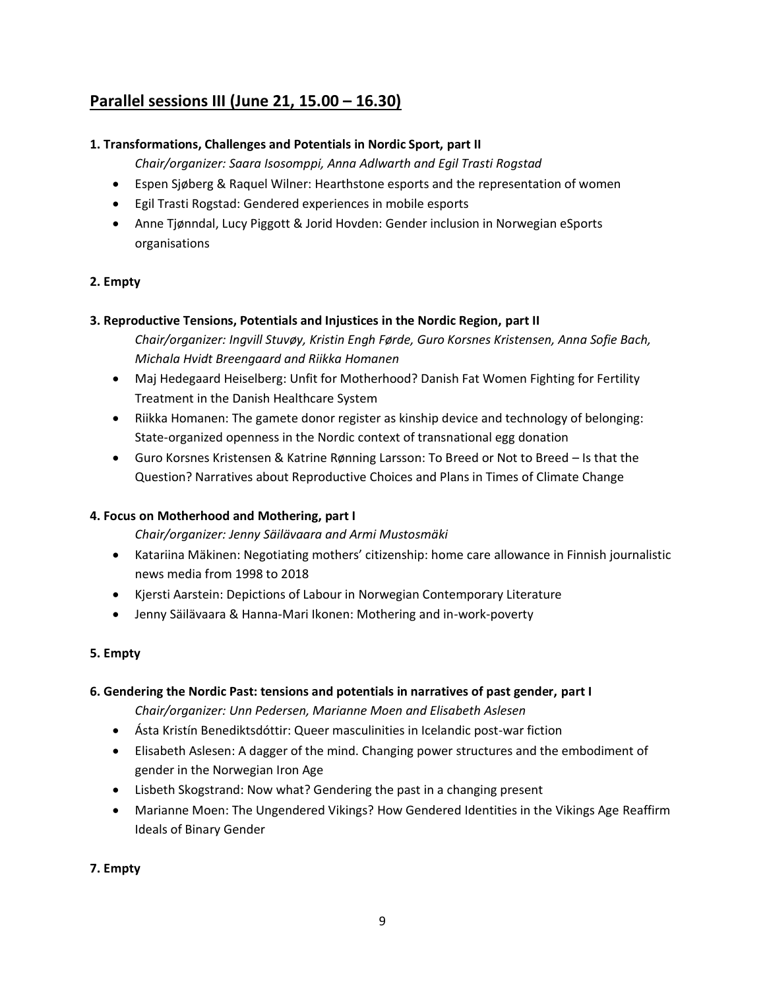## **Parallel sessions III (June 21, 15.00 – 16.30)**

#### **1. Transformations, Challenges and Potentials in Nordic Sport, part II**

*Chair/organizer: Saara Isosomppi, Anna Adlwarth and Egil Trasti Rogstad*

- Espen Sjøberg & Raquel Wilner: Hearthstone esports and the representation of women
- Egil Trasti Rogstad: Gendered experiences in mobile esports
- Anne Tjønndal, Lucy Piggott & Jorid Hovden: Gender inclusion in Norwegian eSports organisations

#### **2. Empty**

#### **3. Reproductive Tensions, Potentials and Injustices in the Nordic Region, part II**

*Chair/organizer: Ingvill Stuvøy, Kristin Engh Førde, Guro Korsnes Kristensen, Anna Sofie Bach, Michala Hvidt Breengaard and Riikka Homanen*

- Maj Hedegaard Heiselberg: Unfit for Motherhood? Danish Fat Women Fighting for Fertility Treatment in the Danish Healthcare System
- Riikka Homanen: The gamete donor register as kinship device and technology of belonging: State-organized openness in the Nordic context of transnational egg donation
- Guro Korsnes Kristensen & Katrine Rønning Larsson: To Breed or Not to Breed Is that the Question? Narratives about Reproductive Choices and Plans in Times of Climate Change

#### **4. Focus on Motherhood and Mothering, part I**

*Chair/organizer: Jenny Säilävaara and Armi Mustosmäki*

- Katariina Mäkinen: Negotiating mothers' citizenship: home care allowance in Finnish journalistic news media from 1998 to 2018
- Kjersti Aarstein: Depictions of Labour in Norwegian Contemporary Literature
- Jenny Säilävaara & Hanna-Mari Ikonen: Mothering and in-work-poverty

#### **5. Empty**

#### **6. Gendering the Nordic Past: tensions and potentials in narratives of past gender, part I**

*Chair/organizer: Unn Pedersen, Marianne Moen and Elisabeth Aslesen*

- Ásta Kristín Benediktsdóttir: Queer masculinities in Icelandic post-war fiction
- Elisabeth Aslesen: A dagger of the mind. Changing power structures and the embodiment of gender in the Norwegian Iron Age
- Lisbeth Skogstrand: Now what? Gendering the past in a changing present
- Marianne Moen: The Ungendered Vikings? How Gendered Identities in the Vikings Age Reaffirm Ideals of Binary Gender

**7. Empty**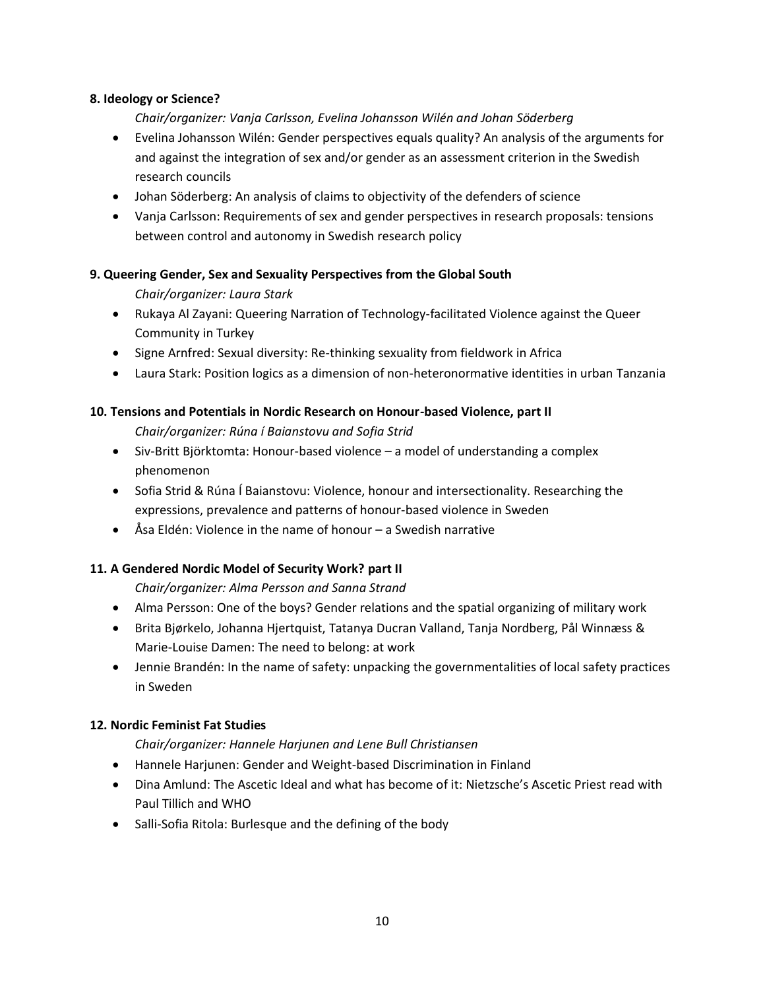#### **8. Ideology or Science?**

*Chair/organizer: Vanja Carlsson, Evelina Johansson Wilén and Johan Söderberg*

- Evelina Johansson Wilén: Gender perspectives equals quality? An analysis of the arguments for and against the integration of sex and/or gender as an assessment criterion in the Swedish research councils
- Johan Söderberg: An analysis of claims to objectivity of the defenders of science
- Vanja Carlsson: Requirements of sex and gender perspectives in research proposals: tensions between control and autonomy in Swedish research policy

#### **9. Queering Gender, Sex and Sexuality Perspectives from the Global South**

*Chair/organizer: Laura Stark*

- Rukaya Al Zayani: Queering Narration of Technology-facilitated Violence against the Queer Community in Turkey
- Signe Arnfred: Sexual diversity: Re-thinking sexuality from fieldwork in Africa
- Laura Stark: Position logics as a dimension of non-heteronormative identities in urban Tanzania

#### **10. Tensions and Potentials in Nordic Research on Honour-based Violence, part II**

*Chair/organizer: Rúna í Baianstovu and Sofia Strid*

- Siv-Britt Björktomta: Honour-based violence a model of understanding a complex phenomenon
- Sofia Strid & Rúna Í Baianstovu: Violence, honour and intersectionality. Researching the expressions, prevalence and patterns of honour-based violence in Sweden
- Åsa Eldén: Violence in the name of honour a Swedish narrative

#### **11. A Gendered Nordic Model of Security Work? part II**

*Chair/organizer: Alma Persson and Sanna Strand*

- Alma Persson: One of the boys? Gender relations and the spatial organizing of military work
- Brita Bjørkelo, Johanna Hjertquist, Tatanya Ducran Valland, Tanja Nordberg, Pål Winnæss & Marie-Louise Damen: The need to belong: at work
- Jennie Brandén: In the name of safety: unpacking the governmentalities of local safety practices in Sweden

#### **12. Nordic Feminist Fat Studies**

*Chair/organizer: Hannele Harjunen and Lene Bull Christiansen*

- Hannele Harjunen: Gender and Weight-based Discrimination in Finland
- Dina Amlund: The Ascetic Ideal and what has become of it: Nietzsche's Ascetic Priest read with Paul Tillich and WHO
- Salli-Sofia Ritola: Burlesque and the defining of the body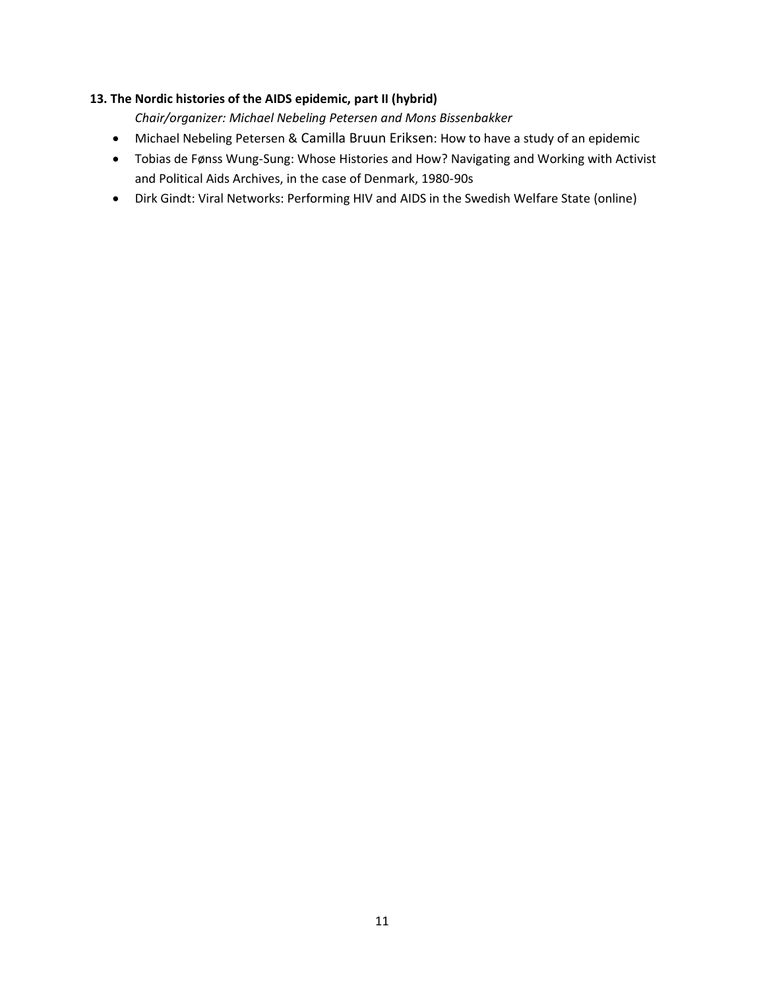#### **13. The Nordic histories of the AIDS epidemic, part II (hybrid)**

*Chair/organizer: Michael Nebeling Petersen and Mons Bissenbakker*

- Michael Nebeling Petersen & Camilla Bruun Eriksen: How to have a study of an epidemic
- Tobias de Fønss Wung-Sung: Whose Histories and How? Navigating and Working with Activist and Political Aids Archives, in the case of Denmark, 1980-90s
- Dirk Gindt: Viral Networks: Performing HIV and AIDS in the Swedish Welfare State (online)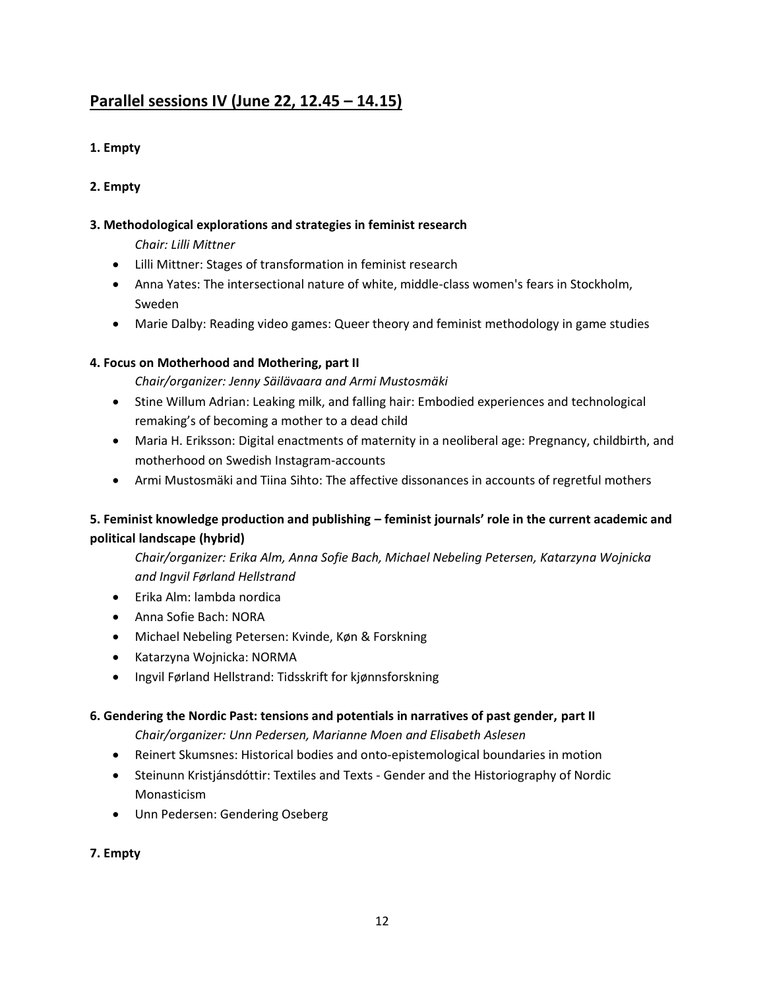# **Parallel sessions IV (June 22, 12.45 – 14.15)**

#### **1. Empty**

#### **2. Empty**

#### **3. Methodological explorations and strategies in feminist research**

*Chair: Lilli Mittner*

- Lilli Mittner: Stages of transformation in feminist research
- Anna Yates: The intersectional nature of white, middle-class women's fears in Stockholm, Sweden
- Marie Dalby: Reading video games: Queer theory and feminist methodology in game studies

#### **4. Focus on Motherhood and Mothering, part II**

*Chair/organizer: Jenny Säilävaara and Armi Mustosmäki*

- Stine Willum Adrian: Leaking milk, and falling hair: Embodied experiences and technological remaking's of becoming a mother to a dead child
- Maria H. Eriksson: Digital enactments of maternity in a neoliberal age: Pregnancy, childbirth, and motherhood on Swedish Instagram-accounts
- Armi Mustosmäki and Tiina Sihto: The affective dissonances in accounts of regretful mothers

### **5. Feminist knowledge production and publishing – feminist journals' role in the current academic and political landscape (hybrid)**

*Chair/organizer: Erika Alm, Anna Sofie Bach, Michael Nebeling Petersen, Katarzyna Wojnicka and Ingvil Førland Hellstrand*

- Erika Alm: lambda nordica
- Anna Sofie Bach: NORA
- Michael Nebeling Petersen: Kvinde, Køn & Forskning
- Katarzyna Wojnicka: NORMA
- Ingvil Førland Hellstrand: Tidsskrift for kjønnsforskning

#### **6. Gendering the Nordic Past: tensions and potentials in narratives of past gender, part II**

*Chair/organizer: Unn Pedersen, Marianne Moen and Elisabeth Aslesen*

- Reinert Skumsnes: Historical bodies and onto-epistemological boundaries in motion
- Steinunn Kristjánsdóttir: Textiles and Texts Gender and the Historiography of Nordic Monasticism
- Unn Pedersen: Gendering Oseberg

#### **7. Empty**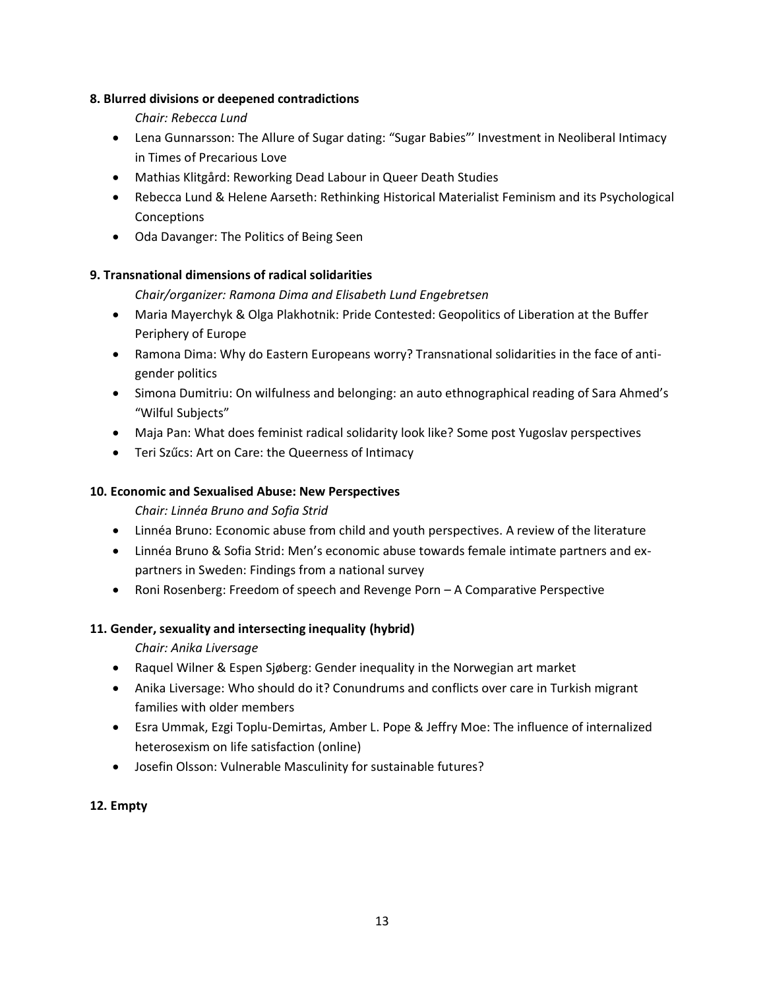#### **8. Blurred divisions or deepened contradictions**

*Chair: Rebecca Lund*

- Lena Gunnarsson: The Allure of Sugar dating: "Sugar Babies"' Investment in Neoliberal Intimacy in Times of Precarious Love
- Mathias Klitgård: Reworking Dead Labour in Queer Death Studies
- Rebecca Lund & Helene Aarseth: Rethinking Historical Materialist Feminism and its Psychological **Conceptions**
- Oda Davanger: The Politics of Being Seen

#### **9. Transnational dimensions of radical solidarities**

#### *Chair/organizer: Ramona Dima and Elisabeth Lund Engebretsen*

- Maria Mayerchyk & Olga Plakhotnik: Pride Contested: Geopolitics of Liberation at the Buffer Periphery of Europe
- Ramona Dima: Why do Eastern Europeans worry? Transnational solidarities in the face of antigender politics
- Simona Dumitriu: On wilfulness and belonging: an auto ethnographical reading of Sara Ahmed's "Wilful Subjects"
- Maja Pan: What does feminist radical solidarity look like? Some post Yugoslav perspectives
- Teri Szűcs: Art on Care: the Queerness of Intimacy

#### **10. Economic and Sexualised Abuse: New Perspectives**

*Chair: Linnéa Bruno and Sofia Strid*

- Linnéa Bruno: Economic abuse from child and youth perspectives. A review of the literature
- Linnéa Bruno & Sofia Strid: Men's economic abuse towards female intimate partners and expartners in Sweden: Findings from a national survey
- Roni Rosenberg: Freedom of speech and Revenge Porn A Comparative Perspective

#### **11. Gender, sexuality and intersecting inequality (hybrid)**

*Chair: Anika Liversage*

- Raquel Wilner & Espen Sjøberg: Gender inequality in the Norwegian art market
- Anika Liversage: Who should do it? Conundrums and conflicts over care in Turkish migrant families with older members
- Esra Ummak, Ezgi Toplu-Demirtas, Amber L. Pope & Jeffry Moe: The influence of internalized heterosexism on life satisfaction (online)
- Josefin Olsson: Vulnerable Masculinity for sustainable futures?

#### **12. Empty**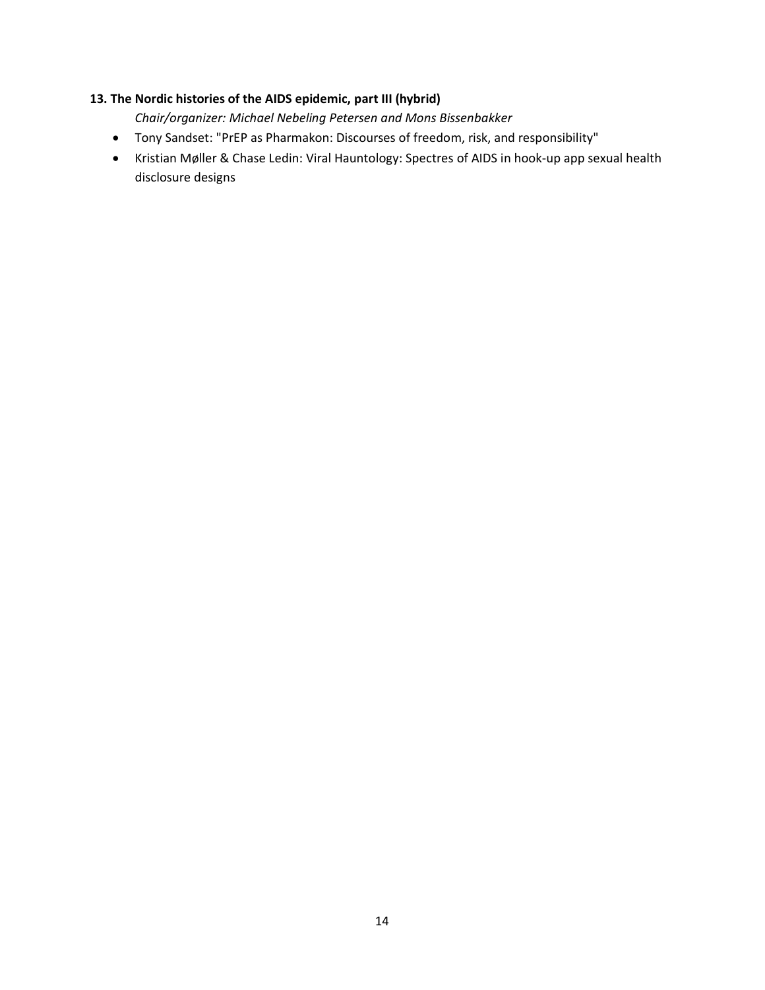### **13. The Nordic histories of the AIDS epidemic, part III (hybrid)**

*Chair/organizer: Michael Nebeling Petersen and Mons Bissenbakker*

- Tony Sandset: "PrEP as Pharmakon: Discourses of freedom, risk, and responsibility"
- Kristian Møller & Chase Ledin: Viral Hauntology: Spectres of AIDS in hook-up app sexual health disclosure designs